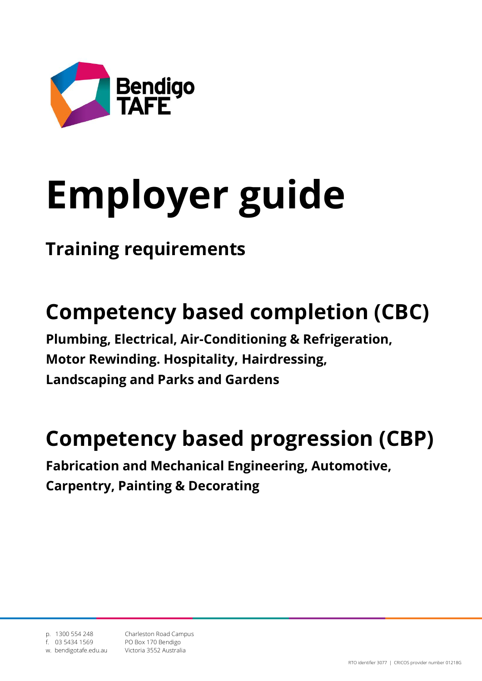

# **Employer guide**

# **Training requirements**

# **Competency based completion (CBC)**

**Plumbing, Electrical, Air-Conditioning & Refrigeration, Motor Rewinding. Hospitality, Hairdressing, Landscaping and Parks and Gardens**

# **Competency based progression (CBP)**

**Fabrication and Mechanical Engineering, Automotive, Carpentry, Painting & Decorating**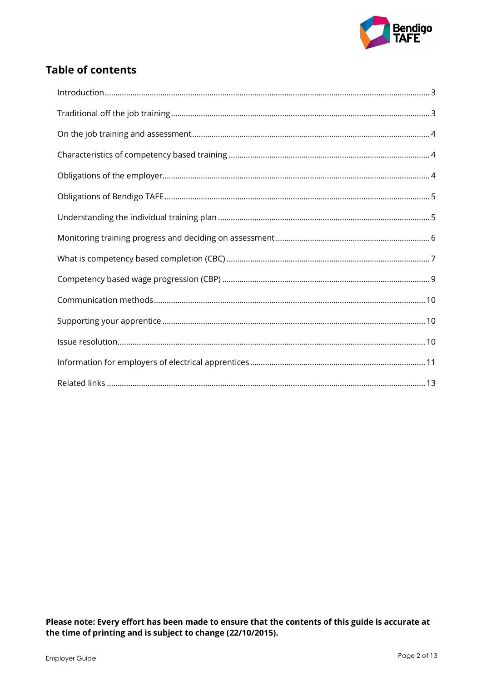

# **Table of contents**

Please note: Every effort has been made to ensure that the contents of this guide is accurate at the time of printing and is subject to change (22/10/2015).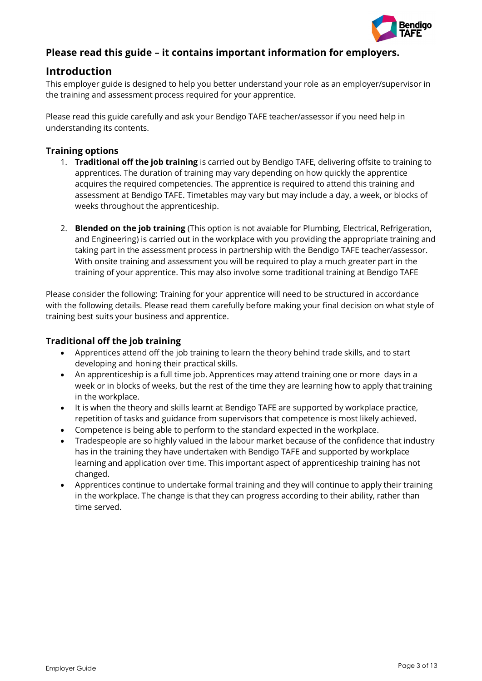

# **Please read this guide – it contains important information for employers.**

# **Introduction**

This employer guide is designed to help you better understand your role as an employer/supervisor in the training and assessment process required for your apprentice.

Please read this guide carefully and ask your Bendigo TAFE teacher/assessor if you need help in understanding its contents.

# **Training options**

- 1. **Traditional off the job training** is carried out by Bendigo TAFE, delivering offsite to training to apprentices. The duration of training may vary depending on how quickly the apprentice acquires the required competencies. The apprentice is required to attend this training and assessment at Bendigo TAFE. Timetables may vary but may include a day, a week, or blocks of weeks throughout the apprenticeship.
- 2. **Blended on the job training** (This option is not avaiable for Plumbing, Electrical, Refrigeration, and Engineering) is carried out in the workplace with you providing the appropriate training and taking part in the assessment process in partnership with the Bendigo TAFE teacher/assessor. With onsite training and assessment you will be required to play a much greater part in the training of your apprentice. This may also involve some traditional training at Bendigo TAFE

Please consider the following: Training for your apprentice will need to be structured in accordance with the following details. Please read them carefully before making your final decision on what style of training best suits your business and apprentice.

# **Traditional off the job training**

- Apprentices attend off the job training to learn the theory behind trade skills, and to start developing and honing their practical skills.
- An apprenticeship is a full time job. Apprentices may attend training one or more days in a week or in blocks of weeks, but the rest of the time they are learning how to apply that training in the workplace.
- It is when the theory and skills learnt at Bendigo TAFE are supported by workplace practice, repetition of tasks and guidance from supervisors that competence is most likely achieved.
- Competence is being able to perform to the standard expected in the workplace.
- Tradespeople are so highly valued in the labour market because of the confidence that industry has in the training they have undertaken with Bendigo TAFE and supported by workplace learning and application over time. This important aspect of apprenticeship training has not changed.
- Apprentices continue to undertake formal training and they will continue to apply their training in the workplace. The change is that they can progress according to their ability, rather than time served.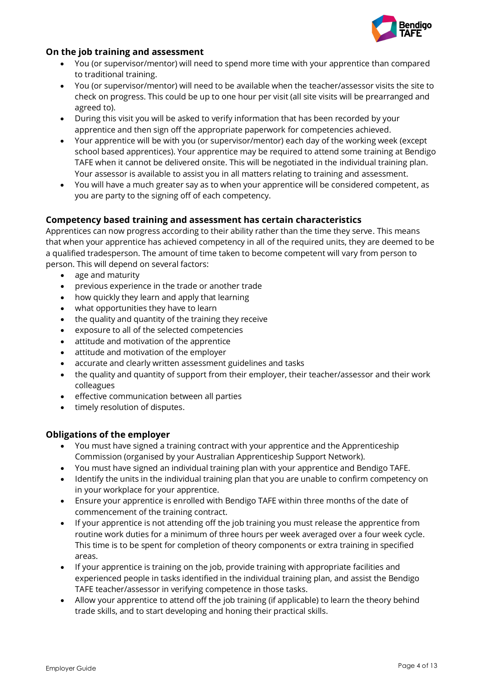

# **On the job training and assessment**

- You (or supervisor/mentor) will need to spend more time with your apprentice than compared to traditional training.
- You (or supervisor/mentor) will need to be available when the teacher/assessor visits the site to check on progress. This could be up to one hour per visit (all site visits will be prearranged and agreed to).
- During this visit you will be asked to verify information that has been recorded by your apprentice and then sign off the appropriate paperwork for competencies achieved.
- Your apprentice will be with you (or supervisor/mentor) each day of the working week (except school based apprentices). Your apprentice may be required to attend some training at Bendigo TAFE when it cannot be delivered onsite. This will be negotiated in the individual training plan. Your assessor is available to assist you in all matters relating to training and assessment.
- You will have a much greater say as to when your apprentice will be considered competent, as you are party to the signing off of each competency.

# **Competency based training and assessment has certain characteristics**

Apprentices can now progress according to their ability rather than the time they serve. This means that when your apprentice has achieved competency in all of the required units, they are deemed to be a qualified tradesperson. The amount of time taken to become competent will vary from person to person. This will depend on several factors:

- age and maturity
- previous experience in the trade or another trade
- how quickly they learn and apply that learning
- what opportunities they have to learn
- the quality and quantity of the training they receive
- exposure to all of the selected competencies
- attitude and motivation of the apprentice
- attitude and motivation of the employer
- accurate and clearly written assessment guidelines and tasks
- the quality and quantity of support from their employer, their teacher/assessor and their work colleagues
- effective communication between all parties
- timely resolution of disputes.

#### <span id="page-3-0"></span>**Obligations of the employer**

- You must have signed a training contract with your apprentice and the Apprenticeship Commission (organised by your Australian Apprenticeship Support Network).
- You must have signed an individual training plan with your apprentice and Bendigo TAFE.
- Identify the units in the individual training plan that you are unable to confirm competency on in your workplace for your apprentice.
- Ensure your apprentice is enrolled with Bendigo TAFE within three months of the date of commencement of the training contract.
- If your apprentice is not attending off the job training you must release the apprentice from routine work duties for a minimum of three hours per week averaged over a four week cycle. This time is to be spent for completion of theory components or extra training in specified areas.
- If your apprentice is training on the job, provide training with appropriate facilities and experienced people in tasks identified in the individual training plan, and assist the Bendigo TAFE teacher/assessor in verifying competence in those tasks.
- Allow your apprentice to attend off the job training (if applicable) to learn the theory behind trade skills, and to start developing and honing their practical skills.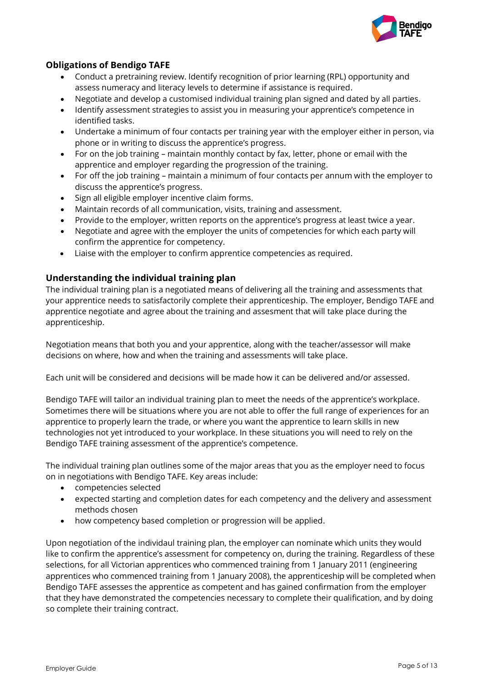<span id="page-4-1"></span>

# <span id="page-4-0"></span>**Obligations of Bendigo TAFE**

- Conduct a pretraining review. Identify recognition of prior learning (RPL) opportunity and assess numeracy and literacy levels to determine if assistance is required.
- Negotiate and develop a customised individual training plan signed and dated by all parties.
- Identify assessment strategies to assist you in measuring your apprentice's competence in identified tasks.
- Undertake a minimum of four contacts per training year with the employer either in person, via phone or in writing to discuss the apprentice's progress.
- For on the job training maintain monthly contact by fax, letter, phone or email with the apprentice and employer regarding the progression of the training.
- For off the job training maintain a minimum of four contacts per annum with the employer to discuss the apprentice's progress.
- Sign all eligible employer incentive claim forms.
- Maintain records of all communication, visits, training and assessment.
- Provide to the employer, written reports on the apprentice's progress at least twice a year.
- Negotiate and agree with the employer the units of competencies for which each party will confirm the apprentice for competency.
- Liaise with the employer to confirm apprentice competencies as required.

#### **Understanding the individual training plan**

The individual training plan is a negotiated means of delivering all the training and assessments that your apprentice needs to satisfactorily complete their apprenticeship. The employer, Bendigo TAFE and apprentice negotiate and agree about the training and assesment that will take place during the apprenticeship.

Negotiation means that both you and your apprentice, along with the teacher/assessor will make decisions on where, how and when the training and assessments will take place.

Each unit will be considered and decisions will be made how it can be delivered and/or assessed.

Bendigo TAFE will tailor an individual training plan to meet the needs of the apprentice's workplace. Sometimes there will be situations where you are not able to offer the full range of experiences for an apprentice to properly learn the trade, or where you want the apprentice to learn skills in new technologies not yet introduced to your workplace. In these situations you will need to rely on the Bendigo TAFE training assessment of the apprentice's competence.

The individual training plan outlines some of the major areas that you as the employer need to focus on in negotiations with Bendigo TAFE. Key areas include:

- competencies selected
- expected starting and completion dates for each competency and the delivery and assessment methods chosen
- how competency based completion or progression will be applied.

Upon negotiation of the individaul training plan, the employer can nominate which units they would like to confirm the apprentice's assessment for competency on, during the training. Regardless of these selections, for all Victorian apprentices who commenced training from 1 January 2011 (engineering apprentices who commenced training from 1 January 2008), the apprenticeship will be completed when Bendigo TAFE assesses the apprentice as competent and has gained confirmation from the employer that they have demonstrated the competencies necessary to complete their qualification, and by doing so complete their training contract.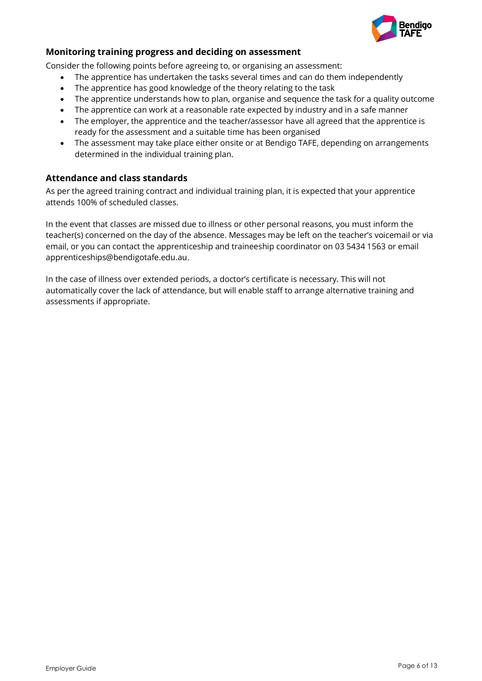

# <span id="page-5-0"></span>**Monitoring training progress and deciding on assessment**

Consider the following points before agreeing to, or organising an assessment:

- The apprentice has undertaken the tasks several times and can do them independently
- The apprentice has good knowledge of the theory relating to the task
- The apprentice understands how to plan, organise and sequence the task for a quality outcome
- The apprentice can work at a reasonable rate expected by industry and in a safe manner
- The employer, the apprentice and the teacher/assessor have all agreed that the apprentice is ready for the assessment and a suitable time has been organised
- The assessment may take place either onsite or at Bendigo TAFE, depending on arrangements determined in the individual training plan.

# **Attendance and class standards**

As per the agreed training contract and individual training plan, it is expected that your apprentice attends 100% of scheduled classes.

In the event that classes are missed due to illness or other personal reasons, you must inform the teacher(s) concerned on the day of the absence. Messages may be left on the teacher's voicemail or via email, or you can contact the apprenticeship and traineeship coordinator on 03 5434 1563 or email [apprenticeships@bendigotafe.edu.au.](mailto:apprenticeships@bendigotafe.edu.au)

In the case of illness over extended periods, a doctor's certificate is necessary. This will not automatically cover the lack of attendance, but will enable staff to arrange alternative training and assessments if appropriate.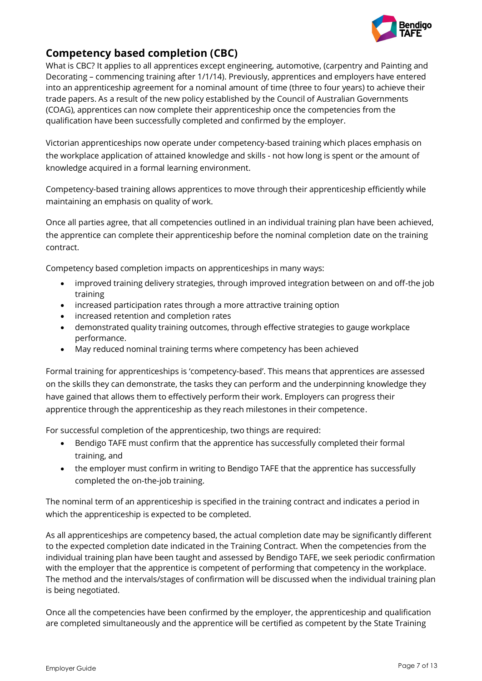

# **Competency based completion (CBC)**

What is CBC? It applies to all apprentices except engineering, automotive, (carpentry and Painting and Decorating – commencing training after 1/1/14). Previously, apprentices and employers have entered into an apprenticeship agreement for a nominal amount of time (three to four years) to achieve their trade papers. As a result of the new policy established by the [Council of Australian Governments](http://www.coag.gov.au/) (COAG), apprentices can now complete their apprenticeship once the competencies from the qualification have been successfully completed and confirmed by the employer.

Victorian apprenticeships now operate under competency-based training which places emphasis on the workplace application of attained knowledge and skills - not how long is spent or the amount of knowledge acquired in a formal learning environment.

Competency-based training allows apprentices to move through their apprenticeship efficiently while maintaining an emphasis on quality of work.

Once all parties agree, that all competencies outlined in an individual training plan have been achieved, the apprentice can complete their apprenticeship before the nominal completion date on the training contract.

Competency based completion impacts on apprenticeships in many ways:

- improved training delivery strategies, through improved integration between on and off-the job training
- increased participation rates through a more attractive training option
- increased retention and completion rates
- demonstrated quality training outcomes, through effective strategies to gauge workplace performance.
- May reduced nominal training terms where competency has been achieved

Formal training for apprenticeships is 'competency-based'. This means that apprentices are assessed on the skills they can demonstrate, the tasks they can perform and the underpinning knowledge they have gained that allows them to effectively perform their work. Employers can progress their apprentice through the apprenticeship as they reach milestones in their competence.

For successful completion of the apprenticeship, two things are required:

- Bendigo TAFE must confirm that the apprentice has successfully completed their formal training, and
- the employer must confirm in writing to Bendigo TAFE that the apprentice has successfully completed the on-the-job training.

The nominal term of an apprenticeship is specified in the training contract and indicates a period in which the apprenticeship is expected to be completed.

As all apprenticeships are competency based, the actual completion date may be significantly different to the expected completion date indicated in the Training Contract. When the competencies from the individual training plan have been taught and assessed by Bendigo TAFE, we seek periodic confirmation with the employer that the apprentice is competent of performing that competency in the workplace. The method and the intervals/stages of confirmation will be discussed when the individual training plan is being negotiated.

Once all the competencies have been confirmed by the employer, the apprenticeship and qualification are completed simultaneously and the apprentice will be certified as competent by the State Training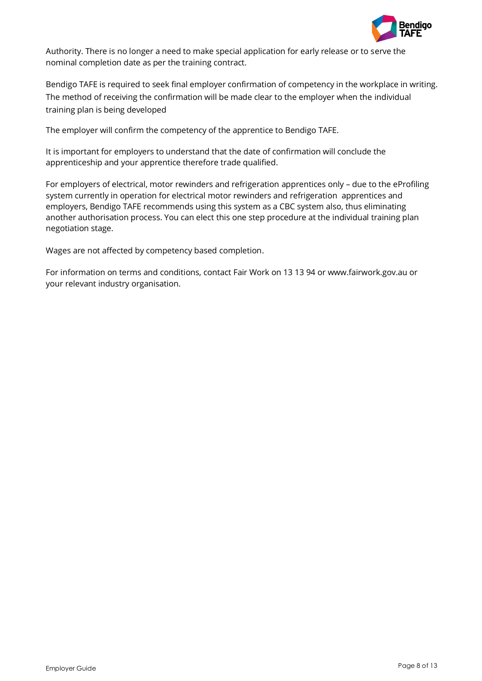

Authority. There is no longer a need to make special application for early release or to serve the nominal completion date as per the training contract.

Bendigo TAFE is required to seek final employer confirmation of competency in the workplace in writing. The method of receiving the confirmation will be made clear to the employer when the individual training plan is being developed

The employer will confirm the competency of the apprentice to Bendigo TAFE.

It is important for employers to understand that the date of confirmation will conclude the apprenticeship and your apprentice therefore trade qualified.

For employers of electrical, motor rewinders and refrigeration apprentices only – due to the eProfiling system currently in operation for electrical motor rewinders and refrigeration apprentices and employers, Bendigo TAFE recommends using this system as a CBC system also, thus eliminating another authorisation process. You can elect this one step procedure at the individual training plan negotiation stage.

Wages are not affected by competency based completion.

For information on terms and conditions, contact Fair Work on 13 13 94 or www.fairwork.gov.au or your relevant industry organisation.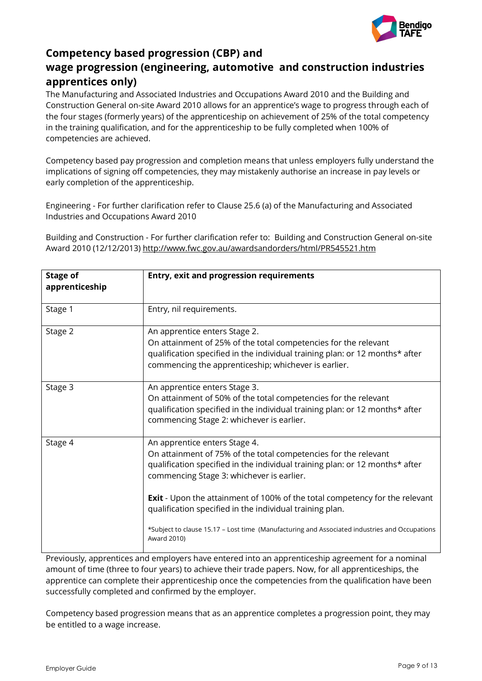

# **Competency based progression (CBP) and wage progression (engineering, automotive and construction industries**

# **apprentices only)**

The Manufacturing and Associated Industries and Occupations Award 2010 and the Building and Construction General on-site Award 2010 allows for an apprentice's wage to progress through each of the four stages (formerly years) of the apprenticeship on achievement of 25% of the total competency in the training qualification, and for the apprenticeship to be fully completed when 100% of competencies are achieved.

Competency based pay progression and completion means that unless employers fully understand the implications of signing off competencies, they may mistakenly authorise an increase in pay levels or early completion of the apprenticeship.

Engineering - For further clarification refer to Clause 25.6 (a) of the Manufacturing and Associated Industries and Occupations Award 2010

Building and Construction - For further clarification refer to: Building and Construction General on-site Award 2010 (12/12/2013)<http://www.fwc.gov.au/awardsandorders/html/PR545521.htm>

| <b>Stage of</b><br>apprenticeship | <b>Entry, exit and progression requirements</b>                                                                                                                                                                                          |
|-----------------------------------|------------------------------------------------------------------------------------------------------------------------------------------------------------------------------------------------------------------------------------------|
| Stage 1                           | Entry, nil requirements.                                                                                                                                                                                                                 |
| Stage 2                           | An apprentice enters Stage 2.<br>On attainment of 25% of the total competencies for the relevant<br>qualification specified in the individual training plan: or 12 months* after<br>commencing the apprenticeship; whichever is earlier. |
| Stage 3                           | An apprentice enters Stage 3.<br>On attainment of 50% of the total competencies for the relevant<br>qualification specified in the individual training plan: or 12 months* after<br>commencing Stage 2: whichever is earlier.            |
| Stage 4                           | An apprentice enters Stage 4.<br>On attainment of 75% of the total competencies for the relevant<br>qualification specified in the individual training plan: or 12 months* after<br>commencing Stage 3: whichever is earlier.            |
|                                   | <b>Exit</b> - Upon the attainment of 100% of the total competency for the relevant<br>qualification specified in the individual training plan.                                                                                           |
|                                   | *Subject to clause 15.17 - Lost time (Manufacturing and Associated industries and Occupations<br>Award 2010)                                                                                                                             |

Previously, apprentices and employers have entered into an apprenticeship agreement for a nominal amount of time (three to four years) to achieve their trade papers. Now, for all apprenticeships, the apprentice can complete their apprenticeship once the competencies from the qualification have been successfully completed and confirmed by the employer.

Competency based progression means that as an apprentice completes a progression point, they may be entitled to a wage increase.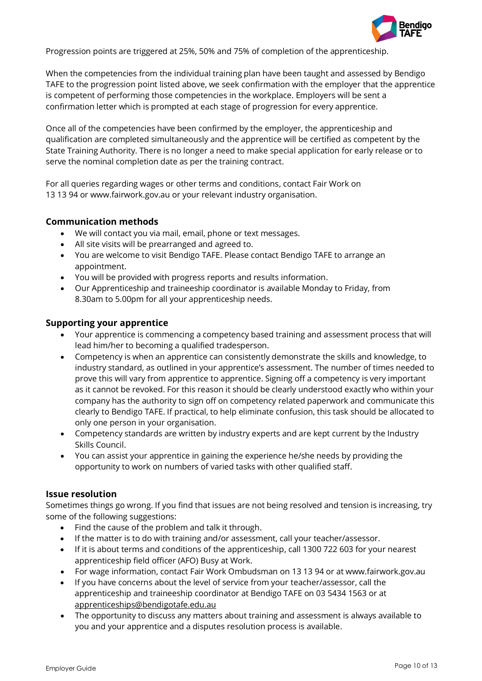

Progression points are triggered at 25%, 50% and 75% of completion of the apprenticeship.

When the competencies from the individual training plan have been taught and assessed by Bendigo TAFE to the progression point listed above, we seek confirmation with the employer that the apprentice is competent of performing those competencies in the workplace. Employers will be sent a confirmation letter which is prompted at each stage of progression for every apprentice.

Once all of the competencies have been confirmed by the employer, the apprenticeship and qualification are completed simultaneously and the apprentice will be certified as competent by the State Training Authority. There is no longer a need to make special application for early release or to serve the nominal completion date as per the training contract.

For all queries regarding wages or other terms and conditions, contact Fair Work on 13 13 94 or www.fairwork.gov.au or your relevant industry organisation.

#### **Communication methods**

- We will contact you via mail, email, phone or text messages.
- All site visits will be prearranged and agreed to.
- You are welcome to visit Bendigo TAFE. Please contact Bendigo TAFE to arrange an appointment.
- You will be provided with progress reports and results information.
- Our Apprenticeship and traineeship coordinator is available Monday to Friday, from 8.30am to 5.00pm for all your apprenticeship needs.

#### **Supporting your apprentice**

- Your apprentice is commencing a competency based training and assessment process that will lead him/her to becoming a qualified tradesperson.
- Competency is when an apprentice can consistently demonstrate the skills and knowledge, to industry standard, as outlined in your apprentice's assessment. The number of times needed to prove this will vary from apprentice to apprentice. Signing off a competency is very important as it cannot be revoked. For this reason it should be clearly understood exactly who within your company has the authority to sign off on competency related paperwork and communicate this clearly to Bendigo TAFE. If practical, to help eliminate confusion, this task should be allocated to only one person in your organisation.
- Competency standards are written by industry experts and are kept current by the Industry Skills Council.
- You can assist your apprentice in gaining the experience he/she needs by providing the opportunity to work on numbers of varied tasks with other qualified staff.

#### **Issue resolution**

Sometimes things go wrong. If you find that issues are not being resolved and tension is increasing, try some of the following suggestions:

- Find the cause of the problem and talk it through.
- If the matter is to do with training and/or assessment, call your teacher/assessor.
- If it is about terms and conditions of the apprenticeship, call 1300 722 603 for your nearest apprenticeship field officer (AFO) Busy at Work.
- For wage information, contact Fair Work Ombudsman on 13 13 94 or at www.fairwork.gov.au
- If you have concerns about the level of service from your teacher/assessor, call the apprenticeship and traineeship coordinator at Bendigo TAFE on 03 5434 1563 or at [apprenticeships@bendigotafe.edu.au](mailto:apprenticeships@bendigotafe.edu.au)
- The opportunity to discuss any matters about training and assessment is always available to you and your apprentice and a disputes resolution process is available.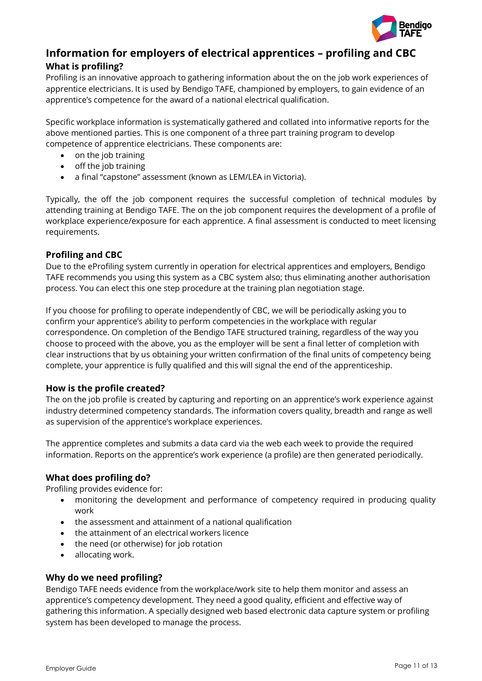

# **Information for employers of electrical apprentices – profiling and CBC What is profiling?**

Profiling is an innovative approach to gathering information about the on the job work experiences of apprentice electricians. It is used by Bendigo TAFE, championed by employers, to gain evidence of an apprentice's competence for the award of a national electrical qualification.

Specific workplace information is systematically gathered and collated into informative reports for the above mentioned parties. This is one component of a three part training program to develop competence of apprentice electricians. These components are:

- on the job training
- off the job training
- a final "capstone" assessment (known as LEM/LEA in Victoria).

Typically, the off the job component requires the successful completion of technical modules by attending training at Bendigo TAFE. The on the job component requires the development of a profile of workplace experience/exposure for each apprentice. A final assessment is conducted to meet licensing requirements.

# **Profiling and CBC**

Due to the eProfiling system currently in operation for electrical apprentices and employers, Bendigo TAFE recommends you using this system as a CBC system also; thus eliminating another authorisation process. You can elect this one step procedure at the training plan negotiation stage.

If you choose for profiling to operate independently of CBC, we will be periodically asking you to confirm your apprentice's ability to perform competencies in the workplace with regular correspondence. On completion of the Bendigo TAFE structured training, regardless of the way you choose to proceed with the above, you as the employer will be sent a final letter of completion with clear instructions that by us obtaining your written confirmation of the final units of competency being complete, your apprentice is fully qualified and this will signal the end of the apprenticeship.

# **How is the profile created?**

The on the job profile is created by capturing and reporting on an apprentice's work experience against industry determined competency standards. The information covers quality, breadth and range as well as supervision of the apprentice's workplace experiences.

The apprentice completes and submits a data card via the web each week to provide the required information. Reports on the apprentice's work experience (a profile) are then generated periodically.

#### **What does profiling do?**

Profiling provides evidence for:

- monitoring the development and performance of competency required in producing quality work
- the assessment and attainment of a national qualification
- the attainment of an electrical workers licence
- the need (or otherwise) for job rotation
- allocating work.

#### **Why do we need profiling?**

Bendigo TAFE needs evidence from the workplace/work site to help them monitor and assess an apprentice's competency development. They need a good quality, efficient and effective way of gathering this information. A specially designed web based electronic data capture system or profiling system has been developed to manage the process.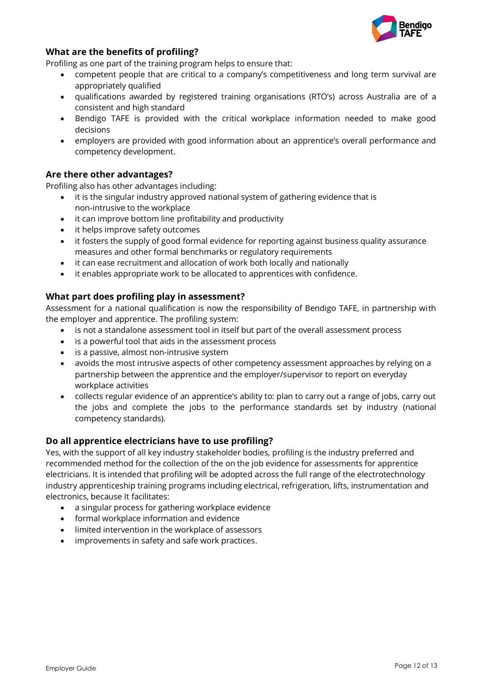

# **What are the benefits of profiling?**

Profiling as one part of the training program helps to ensure that:

- competent people that are critical to a company's competitiveness and long term survival are appropriately qualified
- qualifications awarded by registered training organisations (RTO's) across Australia are of a consistent and high standard
- Bendigo TAFE is provided with the critical workplace information needed to make good decisions
- employers are provided with good information about an apprentice's overall performance and competency development.

# **Are there other advantages?**

Profiling also has other advantages including:

- it is the singular industry approved national system of gathering evidence that is non-intrusive to the workplace
- it can improve bottom line profitability and productivity
- it helps improve safety outcomes
- it fosters the supply of good formal evidence for reporting against business quality assurance measures and other formal benchmarks or regulatory requirements
- it can ease recruitment and allocation of work both locally and nationally
- it enables appropriate work to be allocated to apprentices with confidence.

# **What part does profiling play in assessment?**

Assessment for a national qualification is now the responsibility of Bendigo TAFE, in partnership with the employer and apprentice. The profiling system:

- is not a standalone assessment tool in itself but part of the overall assessment process
- is a powerful tool that aids in the assessment process
- is a passive, almost non-intrusive system
- avoids the most intrusive aspects of other competency assessment approaches by relying on a partnership between the apprentice and the employer/supervisor to report on everyday workplace activities
- collects regular evidence of an apprentice's ability to: plan to carry out a range of jobs, carry out the jobs and complete the jobs to the performance standards set by industry (national competency standards).

#### **Do all apprentice electricians have to use profiling?**

Yes, with the support of all key industry stakeholder bodies, profiling is the industry preferred and recommended method for the collection of the on the job evidence for assessments for apprentice electricians. It is intended that profiling will be adopted across the full range of the electrotechnology industry apprenticeship training programs including electrical, refrigeration, lifts, instrumentation and electronics, because It facilitates:

- a singular process for gathering workplace evidence
- formal workplace information and evidence
- limited intervention in the workplace of assessors
- improvements in safety and safe work practices.